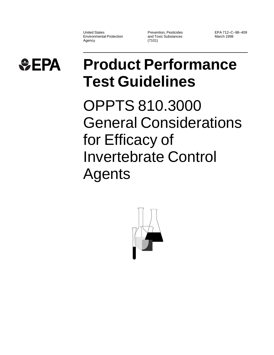United States Environmental Protection Agency

Prevention, Pesticides and Toxic Substances (7101)

EPA 712–C–98–409 March 1998



## **Product Performance Test Guidelines**

OPPTS 810.3000 General Considerations for Efficacy of Invertebrate Control Agents

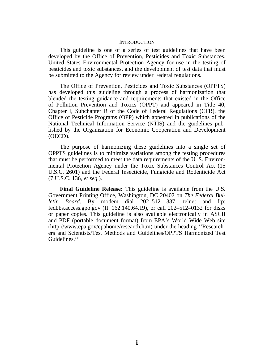## **INTRODUCTION**

This guideline is one of a series of test guidelines that have been developed by the Office of Prevention, Pesticides and Toxic Substances, United States Environmental Protection Agency for use in the testing of pesticides and toxic substances, and the development of test data that must be submitted to the Agency for review under Federal regulations.

The Office of Prevention, Pesticides and Toxic Substances (OPPTS) has developed this guideline through a process of harmonization that blended the testing guidance and requirements that existed in the Office of Pollution Prevention and Toxics (OPPT) and appeared in Title 40, Chapter I, Subchapter R of the Code of Federal Regulations (CFR), the Office of Pesticide Programs (OPP) which appeared in publications of the National Technical Information Service (NTIS) and the guidelines published by the Organization for Economic Cooperation and Development (OECD).

The purpose of harmonizing these guidelines into a single set of OPPTS guidelines is to minimize variations among the testing procedures that must be performed to meet the data requirements of the U. S. Environmental Protection Agency under the Toxic Substances Control Act (15 U.S.C. 2601) and the Federal Insecticide, Fungicide and Rodenticide Act (7 U.S.C. 136, *et seq.*).

**Final Guideline Release:** This guideline is available from the U.S. Government Printing Office, Washington, DC 20402 on *The Federal Bulletin Board*. By modem dial 202–512–1387, telnet and ftp: fedbbs.access.gpo.gov (IP 162.140.64.19), or call 202–512–0132 for disks or paper copies. This guideline is also available electronically in ASCII and PDF (portable document format) from EPA's World Wide Web site (http://www.epa.gov/epahome/research.htm) under the heading ''Researchers and Scientists/Test Methods and Guidelines/OPPTS Harmonized Test Guidelines.''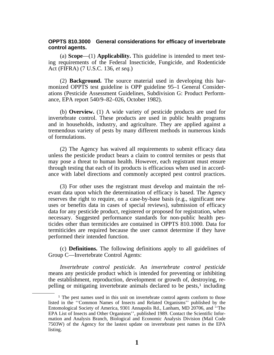## **OPPTS 810.3000 General considerations for efficacy of invertebrate control agents.**

(a) **Scope**—(1) **Applicability.** This guideline is intended to meet testing requirements of the Federal Insecticide, Fungicide, and Rodenticide Act (FIFRA) (7 U.S.C. 136, *et seq.*)

(2) **Background.** The source material used in developing this harmonized OPPTS test guideline is OPP guideline 95–1 General Considerations (Pesticide Assessment Guidelines, Subdivision G: Product Performance, EPA report 540/9–82–026, October 1982).

(b) **Overview.** (1) A wide variety of pesticide products are used for invertebrate control. These products are used in public health programs and in households, industry, and agriculture. They are applied against a tremendous variety of pests by many different methods in numerous kinds of formulations.

(2) The Agency has waived all requirements to submit efficacy data unless the pesticide product bears a claim to control termites or pests that may pose a threat to human health. However, each registrant must ensure through testing that each of its products is efficacious when used in accordance with label directions and commonly accepted pest control practices.

(3) For other uses the registrant must develop and maintain the relevant data upon which the determination of efficacy is based. The Agency reserves the right to require, on a case-by-base basis (e.g., significant new uses or benefits data in cases of special reviews), submission of efficacy data for any pesticide product, registered or proposed for registration, when necessary. Suggested performance standards for non-public health pesticides other than termiticides are contained in OPPTS 810.1000. Data for termiticides are required because the user cannot determine if they have performed their intended function.

(c) **Definitions.** The following definitions apply to all guidelines of Group C—Invertebrate Control Agents:

*Invertebrate control pesticide.* An *invertebrate control pesticide* means any pesticide product which is intended for preventing or inhibiting the establishment, reproduction, development or growth of, destroying, repelling or mitigating invertebrate animals declared to be pests, $<sup>1</sup>$  including</sup>

<sup>1</sup> The pest names used in this unit on invertebrate control agents conform to those listed in the ''Common Names of Insects and Related Organisms'' published by the Entomological Society of America, 9301 Annapolis Rd., Lanham, MD 20706, and ''The EPA List of Insects and Other Organisms'', published 1989. Contact the Scientific Information and Analysis Branch, Biological and Economic Analysis Division (Mail Code 7503W) of the Agency for the lastest update on invertebrate pest names in the EPA listing.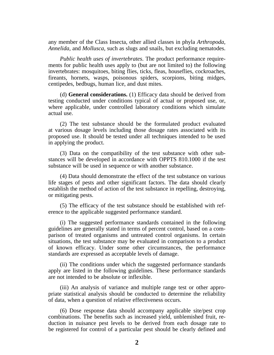any member of the Class Insecta, other allied classes in phyla *Arthropoda, Annelida,* and *Mollusca,* such as slugs and snails, but excluding nematodes.

*Public health uses of invertebrates*. The product performance requirements for public health uses apply to (but are not limited to) the following invertebrates: mosquitoes, biting flies, ticks, fleas, houseflies, cockroaches, fireants, hornets, wasps, poisonous spiders, scorpions, biting midges, centipedes, bedbugs, human lice, and dust mites.

(d) **General considerations.** (1) Efficacy data should be derived from testing conducted under conditions typical of actual or proposed use, or, where applicable, under controlled laboratory conditions which simulate actual use.

(2) The test substance should be the formulated product evaluated at various dosage levels including those dosage rates associated with its proposed use. It should be tested under all techniques intended to be used in applying the product.

(3) Data on the compatibility of the test substance with other substances will be developed in accordance with OPPTS 810.1000 if the test substance will be used in sequence or with another substance.

(4) Data should demonstrate the effect of the test substance on various life stages of pests and other significant factors. The data should clearly establish the method of action of the test substance in repelling, destroying, or mitigating pests.

(5) The efficacy of the test substance should be established with reference to the applicable suggested performance standard.

(i) The suggested performance standards contained in the following guidelines are generally stated in terms of percent control, based on a comparison of treated organisms and untreated control organisms. In certain situations, the test substance may be evaluated in comparison to a product of known efficacy. Under some other circumstances, the performance standards are expressed as acceptable levels of damage.

(ii) The conditions under which the suggested performance standards apply are listed in the following guidelines. These performance standards are not intended to be absolute or inflexible.

(iii) An analysis of variance and multiple range test or other appropriate statistical analysis should be conducted to determine the reliability of data, when a question of relative effectiveness occurs.

(6) Dose response data should accompany applicable site/pest crop combinations. The benefits such as increased yield, unblemished fruit, reduction in nuisance pest levels to be derived from each dosage rate to be registered for control of a particular pest should be clearly defined and